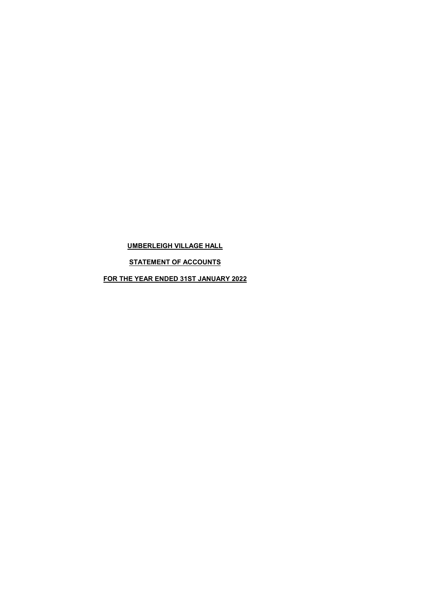# UMBERLEIGH VILLAGE HALL

STATEMENT OF ACCOUNTS

FOR THE YEAR ENDED 31ST JANUARY 2022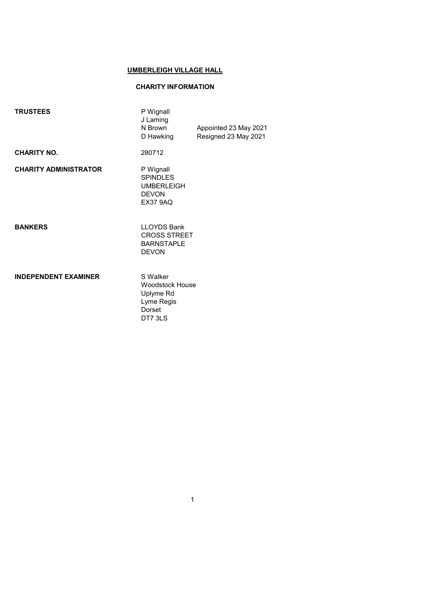## UMBERLEIGH VILLAGE HALL

## CHARITY INFORMATION

| <b>TRUSTEES</b>              | P Wignall<br>J Laming<br>N Brown<br>D Hawking                                        | Appointed 23 May 2021<br>Resigned 23 May 2021 |
|------------------------------|--------------------------------------------------------------------------------------|-----------------------------------------------|
| <b>CHARITY NO.</b>           | 280712                                                                               |                                               |
| <b>CHARITY ADMINISTRATOR</b> | P Wignall<br><b>SPINDLES</b><br><b>UMBERLEIGH</b><br><b>DEVON</b><br><b>EX37 9AQ</b> |                                               |
| <b>BANKERS</b>               | <b>LLOYDS Bank</b><br><b>CROSS STREET</b><br><b>BARNSTAPLE</b><br><b>DEVON</b>       |                                               |
| <b>INDEPENDENT EXAMINER</b>  | S Walker<br><b>Woodstock House</b><br>Uplyme Rd<br>Lyme Regis<br>Dorset<br>DT7 3LS   |                                               |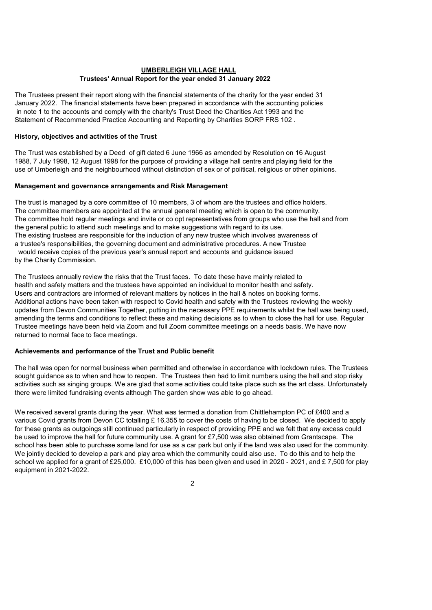## UMBERLEIGH VILLAGE HALL Trustees' Annual Report for the year ended 31 January 2022

The Trustees present their report along with the financial statements of the charity for the year ended 31 January 2022. The financial statements have been prepared in accordance with the accounting policies in note 1 to the accounts and comply with the charity's Trust Deed the Charities Act 1993 and the Statement of Recommended Practice Accounting and Reporting by Charities SORP FRS 102 .

## History, objectives and activities of the Trust

The Trust was established by a Deed of gift dated 6 June 1966 as amended by Resolution on 16 August 1988, 7 July 1998, 12 August 1998 for the purpose of providing a village hall centre and playing field for the use of Umberleigh and the neighbourhood without distinction of sex or of political, religious or other opinions.

## Management and governance arrangements and Risk Management

The trust is managed by a core committee of 10 members, 3 of whom are the trustees and office holders. The committee members are appointed at the annual general meeting which is open to the community. The committee hold regular meetings and invite or co opt representatives from groups who use the hall and from the general public to attend such meetings and to make suggestions with regard to its use. The existing trustees are responsible for the induction of any new trustee which involves awareness of a trustee's responsibilities, the governing document and administrative procedures. A new Trustee would receive copies of the previous year's annual report and accounts and guidance issued

by the Charity Commission.

The Trustees annually review the risks that the Trust faces. To date these have mainly related to health and safety matters and the trustees have appointed an individual to monitor health and safety. Users and contractors are informed of relevant matters by notices in the hall & notes on booking forms. Additional actions have been taken with respect to Covid health and safety with the Trustees reviewing the weekly updates from Devon Communities Together, putting in the necessary PPE requirements whilst the hall was being used, amending the terms and conditions to reflect these and making decisions as to when to close the hall for use. Regular Trustee meetings have been held via Zoom and full Zoom committee meetings on a needs basis. We have now returned to normal face to face meetings.

## Achievements and performance of the Trust and Public benefit

The hall was open for normal business when permitted and otherwise in accordance with lockdown rules. The Trustees sought guidance as to when and how to reopen. The Trustees then had to limit numbers using the hall and stop risky activities such as singing groups. We are glad that some activities could take place such as the art class. Unfortunately there were limited fundraising events although The garden show was able to go ahead.

We received several grants during the year. What was termed a donation from Chittlehampton PC of £400 and a various Covid grants from Devon CC totalling £ 16,355 to cover the costs of having to be closed. We decided to apply for these grants as outgoings still continued particularly in respect of providing PPE and we felt that any excess could be used to improve the hall for future community use. A grant for £7,500 was also obtained from Grantscape. The school has been able to purchase some land for use as a car park but only if the land was also used for the community. We jointly decided to develop a park and play area which the community could also use. To do this and to help the school we applied for a grant of £25,000. £10,000 of this has been given and used in 2020 - 2021, and £7,500 for play equipment in 2021-2022.

 $\overline{2}$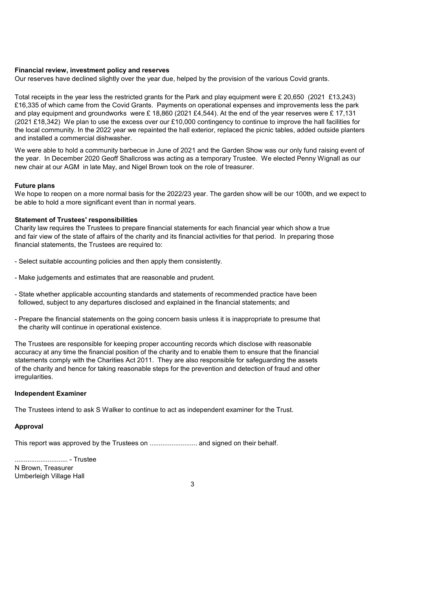### Financial review, investment policy and reserves

Our reserves have declined slightly over the year due, helped by the provision of the various Covid grants.

Total receipts in the year less the restricted grants for the Park and play equipment were £ 20,650 (2021 £13,243) £16,335 of which came from the Covid Grants. Payments on operational expenses and improvements less the park and play equipment and groundworks were £ 18,860 (2021 £4,544). At the end of the year reserves were £ 17,131 (2021 £18,342) We plan to use the excess over our £10,000 contingency to continue to improve the hall facilities for the local community. In the 2022 year we repainted the hall exterior, replaced the picnic tables, added outside planters and installed a commercial dishwasher.

We were able to hold a community barbecue in June of 2021 and the Garden Show was our only fund raising event of the year. In December 2020 Geoff Shallcross was acting as a temporary Trustee. We elected Penny Wignall as our new chair at our AGM in late May, and Nigel Brown took on the role of treasurer.

## Future plans

We hope to reopen on a more normal basis for the 2022/23 year. The garden show will be our 100th, and we expect to be able to hold a more significant event than in normal years.

### Statement of Trustees' responsibilities

Charity law requires the Trustees to prepare financial statements for each financial year which show a true and fair view of the state of affairs of the charity and its financial activities for that period. In preparing those financial statements, the Trustees are required to:

- Select suitable accounting policies and then apply them consistently.
- Make judgements and estimates that are reasonable and prudent.
- State whether applicable accounting standards and statements of recommended practice have been followed, subject to any departures disclosed and explained in the financial statements; and
- Prepare the financial statements on the going concern basis unless it is inappropriate to presume that the charity will continue in operational existence.

The Trustees are responsible for keeping proper accounting records which disclose with reasonable accuracy at any time the financial position of the charity and to enable them to ensure that the financial statements comply with the Charities Act 2011. They are also responsible for safeguarding the assets of the charity and hence for taking reasonable steps for the prevention and detection of fraud and other irregularities.

#### Independent Examiner

The Trustees intend to ask S Walker to continue to act as independent examiner for the Trust.

### Approval

This report was approved by the Trustees on ............................... and signed on their behalf.

............................. - Trustee N Brown, Treasurer Umberleigh Village Hall

3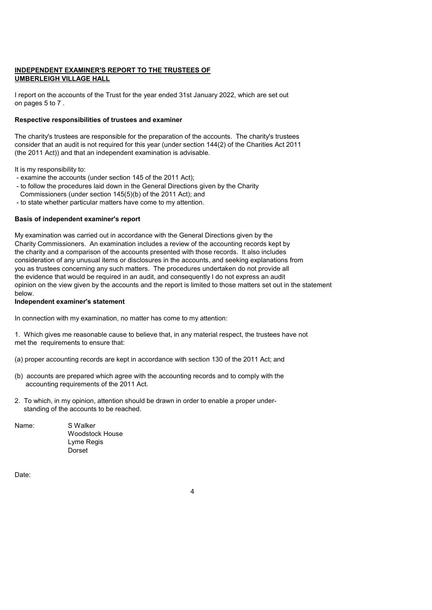## INDEPENDENT EXAMINER'S REPORT TO THE TRUSTEES OF UMBERLEIGH VILLAGE HALL

I report on the accounts of the Trust for the year ended 31st January 2022, which are set out on pages 5 to 7 .

## Respective responsibilities of trustees and examiner

The charity's trustees are responsible for the preparation of the accounts. The charity's trustees consider that an audit is not required for this year (under section 144(2) of the Charities Act 2011 (the 2011 Act)) and that an independent examination is advisable.

It is my responsibility to:

- examine the accounts (under section 145 of the 2011 Act);
- to follow the procedures laid down in the General Directions given by the Charity
- Commissioners (under section 145(5)(b) of the 2011 Act); and
- to state whether particular matters have come to my attention.

## Basis of independent examiner's report

My examination was carried out in accordance with the General Directions given by the Charity Commissioners. An examination includes a review of the accounting records kept by the charity and a comparison of the accounts presented with those records. It also includes consideration of any unusual items or disclosures in the accounts, and seeking explanations from you as trustees concerning any such matters. The procedures undertaken do not provide all the evidence that would be required in an audit, and consequently I do not express an audit opinion on the view given by the accounts and the report is limited to those matters set out in the statement below.

## Independent examiner's statement

In connection with my examination, no matter has come to my attention:

1. Which gives me reasonable cause to believe that, in any material respect, the trustees have not met the requirements to ensure that:

(a) proper accounting records are kept in accordance with section 130 of the 2011 Act; and

- (b) accounts are prepared which agree with the accounting records and to comply with the accounting requirements of the 2011 Act.
- 2. To which, in my opinion, attention should be drawn in order to enable a proper under standing of the accounts to be reached.

| Name: | S Walker |
|-------|----------|
|       | Woodsto  |
|       | a Re     |

Woodstock House Lyme Regis Dorset

Date:

 $\overline{A}$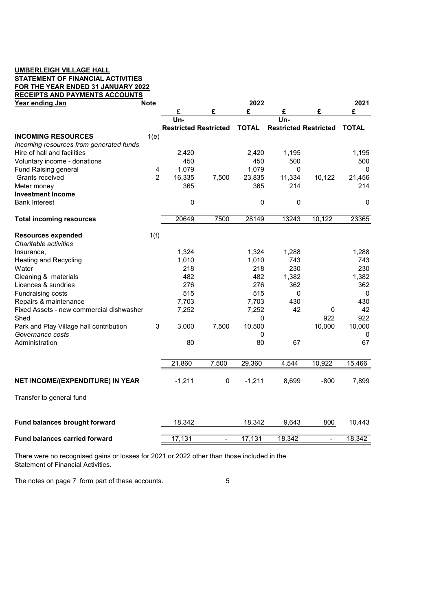## UMBERLEIGH VILLAGE HALL STATEMENT OF FINANCIAL ACTIVITIES FOR THE YEAR ENDED 31 JANUARY 2022

| Year ending Jan<br><b>Note</b>           |                | 2022                         |                          |              |                              |                          |              |
|------------------------------------------|----------------|------------------------------|--------------------------|--------------|------------------------------|--------------------------|--------------|
|                                          |                |                              | £                        | £            | £                            | £                        | £            |
|                                          |                | Un-                          |                          |              | Un-                          |                          |              |
|                                          |                | <b>Restricted Restricted</b> |                          | <b>TOTAL</b> | <b>Restricted Restricted</b> |                          | <b>TOTAL</b> |
| <b>INCOMING RESOURCES</b>                | 1(e)           |                              |                          |              |                              |                          |              |
| Incoming resources from generated funds  |                |                              |                          |              |                              |                          |              |
| Hire of hall and facilities              |                | 2,420                        |                          | 2,420        | 1,195                        |                          | 1,195        |
| Voluntary income - donations             |                | 450                          |                          | 450          | 500                          |                          | 500          |
| <b>Fund Raising general</b>              | 4              | 1,079                        |                          | 1,079        | 0                            |                          | 0            |
| Grants received                          | $\overline{2}$ | 16,335                       | 7,500                    | 23,835       | 11,334                       | 10,122                   | 21,456       |
| Meter money                              |                | 365                          |                          | 365          | 214                          |                          | 214          |
| <b>Investment Income</b>                 |                |                              |                          |              |                              |                          |              |
| <b>Bank Interest</b>                     |                | 0                            |                          | 0            | 0                            |                          | 0            |
| <b>Total incoming resources</b>          |                | 20649                        | 7500                     | 28149        | 13243                        | 10,122                   | 23365        |
| <b>Resources expended</b>                | 1(f)           |                              |                          |              |                              |                          |              |
| Charitable activities                    |                |                              |                          |              |                              |                          |              |
| Insurance,                               |                | 1,324                        |                          | 1,324        | 1,288                        |                          | 1,288        |
| <b>Heating and Recycling</b>             |                | 1,010                        |                          | 1,010        | 743                          |                          | 743          |
| Water                                    |                | 218                          |                          | 218          | 230                          |                          | 230          |
| Cleaning & materials                     |                | 482                          |                          | 482          | 1,382                        |                          | 1,382        |
| Licences & sundries                      |                | 276                          |                          | 276          | 362                          |                          | 362          |
| Fundraising costs                        |                | 515                          |                          | 515          | 0                            |                          | 0            |
| Repairs & maintenance                    |                | 7,703                        |                          | 7,703        | 430                          |                          | 430          |
| Fixed Assets - new commercial dishwasher |                | 7,252                        |                          | 7,252        | 42                           | 0                        | 42           |
| Shed                                     |                |                              |                          | 0            |                              | 922                      | 922          |
| Park and Play Village hall contribution  | 3              | 3,000                        | 7,500                    | 10,500       |                              | 10,000                   | 10,000       |
| Governance costs                         |                |                              |                          | 0            |                              |                          | 0            |
| Administration                           |                | 80                           |                          | 80           | 67                           |                          | 67           |
|                                          |                | 21,860                       | 7,500                    | 29,360       | 4,544                        | 10,922                   | 15,466       |
| NET INCOME/(EXPENDITURE) IN YEAR         |                | $-1,211$                     | $\pmb{0}$                | $-1,211$     | 8,699                        | $-800$                   | 7,899        |
|                                          |                |                              |                          |              |                              |                          |              |
| Transfer to general fund                 |                |                              |                          |              |                              |                          |              |
| Fund balances brought forward            |                | 18,342                       |                          | 18,342       | 9,643                        | 800                      | 10,443       |
| <b>Fund balances carried forward</b>     |                | 17,131                       | $\overline{\phantom{a}}$ | 17,131       | 18,342                       | $\overline{\phantom{0}}$ | 18,342       |

There were no recognised gains or losses for 2021 or 2022 other than those included in the Statement of Financial Activities.

The notes on page 7 form part of these accounts.  $\qquad \qquad$  5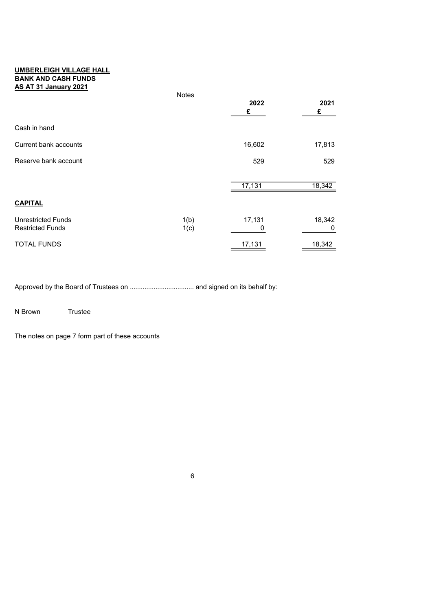## UMBERLEIGH VILLAGE HALL BANK AND CASH FUNDS AS AT 31 January 2021

|                           | Notes |           |           |
|---------------------------|-------|-----------|-----------|
|                           |       | 2022<br>£ | 2021<br>£ |
|                           |       |           |           |
| Cash in hand              |       |           |           |
| Current bank accounts     |       | 16,602    | 17,813    |
| Reserve bank account      |       | 529       | 529       |
|                           |       |           |           |
|                           |       | 17,131    | 18,342    |
| <b>CAPITAL</b>            |       |           |           |
| <b>Unrestricted Funds</b> | 1(b)  | 17,131    | 18,342    |
| <b>Restricted Funds</b>   | 1(c)  | 0         | 0         |
| <b>TOTAL FUNDS</b>        |       | 17,131    | 18,342    |

Approved by the Board of Trustees on ................................... and signed on its behalf by:

N Brown Trustee

The notes on page 7 form part of these accounts